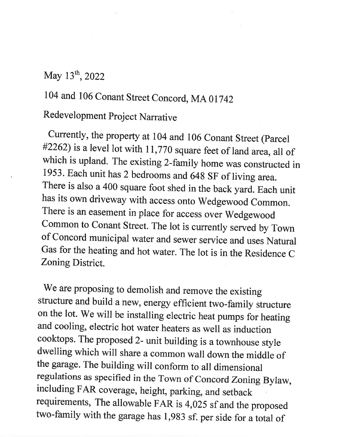## May 13<sup>th</sup>, 2022

## <sup>104</sup>and 106 conant Street concord, MA <sup>01742</sup>

## Redevelopment Project Narrative

Currently, the property at 104 and 106 Conant Street (Parcel  $\#2262$ ) is a level lot with 11,770 square feet of land area, all of which is upland. The existing 2-family home was constructed in 1953. Each unit has 2 bedrooms and 648 SF of living area. There is also a 400 square foot shed in the back yard. Each unit has its own driveway with access onto wedgewood common. There is an easement in place for access over wedgewood common to conant street. The lot is currently served by Town of Concord municipal water and sewer service and uses Natural Gas for the heating and hot water. The lot is in the Residence <sup>C</sup> Zoning District

We are proposing to demolish and remove the existing structure and build a new, energy efficient two-family structure on the lot. We will be installing electric heat pumps for heating and cooling, electric hot water heaters as well as induction cooktops. The proposed 2- unit building is a townhouse style dwelling which will share a common wall down the middle of the garage. The building will conform to all dimensional regulations as specified in the Town of Concord Zoning Bylaw, including FAR coverage, height, parking, and setback requirements, The allowable FAR is 4,025 sf and the proposed two-family with the garage has 1,9g3 sf. per side for a total of